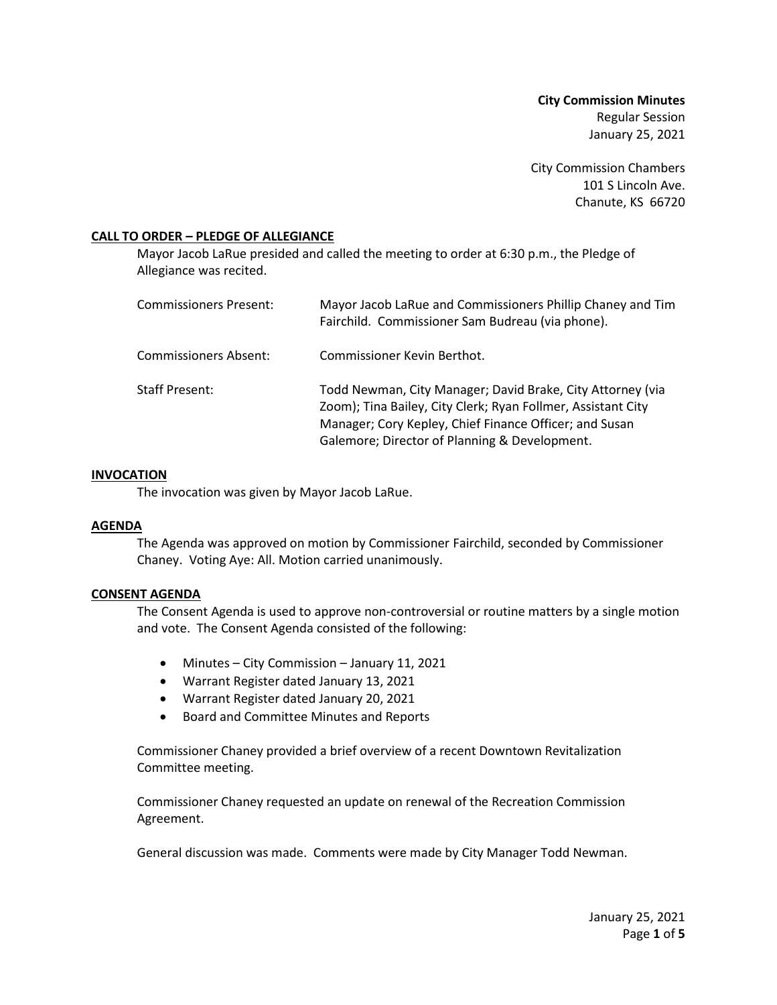**City Commission Minutes** Regular Session January 25, 2021

City Commission Chambers 101 S Lincoln Ave. Chanute, KS 66720

# **CALL TO ORDER – PLEDGE OF ALLEGIANCE**

Mayor Jacob LaRue presided and called the meeting to order at 6:30 p.m., the Pledge of Allegiance was recited.

| <b>Commissioners Present:</b> | Mayor Jacob LaRue and Commissioners Phillip Chaney and Tim<br>Fairchild. Commissioner Sam Budreau (via phone).                                                                                                                        |
|-------------------------------|---------------------------------------------------------------------------------------------------------------------------------------------------------------------------------------------------------------------------------------|
| <b>Commissioners Absent:</b>  | Commissioner Kevin Berthot.                                                                                                                                                                                                           |
| <b>Staff Present:</b>         | Todd Newman, City Manager; David Brake, City Attorney (via<br>Zoom); Tina Bailey, City Clerk; Ryan Follmer, Assistant City<br>Manager; Cory Kepley, Chief Finance Officer; and Susan<br>Galemore; Director of Planning & Development. |

### **INVOCATION**

The invocation was given by Mayor Jacob LaRue.

## **AGENDA**

The Agenda was approved on motion by Commissioner Fairchild, seconded by Commissioner Chaney. Voting Aye: All. Motion carried unanimously.

# **CONSENT AGENDA**

The Consent Agenda is used to approve non-controversial or routine matters by a single motion and vote. The Consent Agenda consisted of the following:

- Minutes City Commission January 11, 2021
- Warrant Register dated January 13, 2021
- Warrant Register dated January 20, 2021
- Board and Committee Minutes and Reports

Commissioner Chaney provided a brief overview of a recent Downtown Revitalization Committee meeting.

Commissioner Chaney requested an update on renewal of the Recreation Commission Agreement.

General discussion was made. Comments were made by City Manager Todd Newman.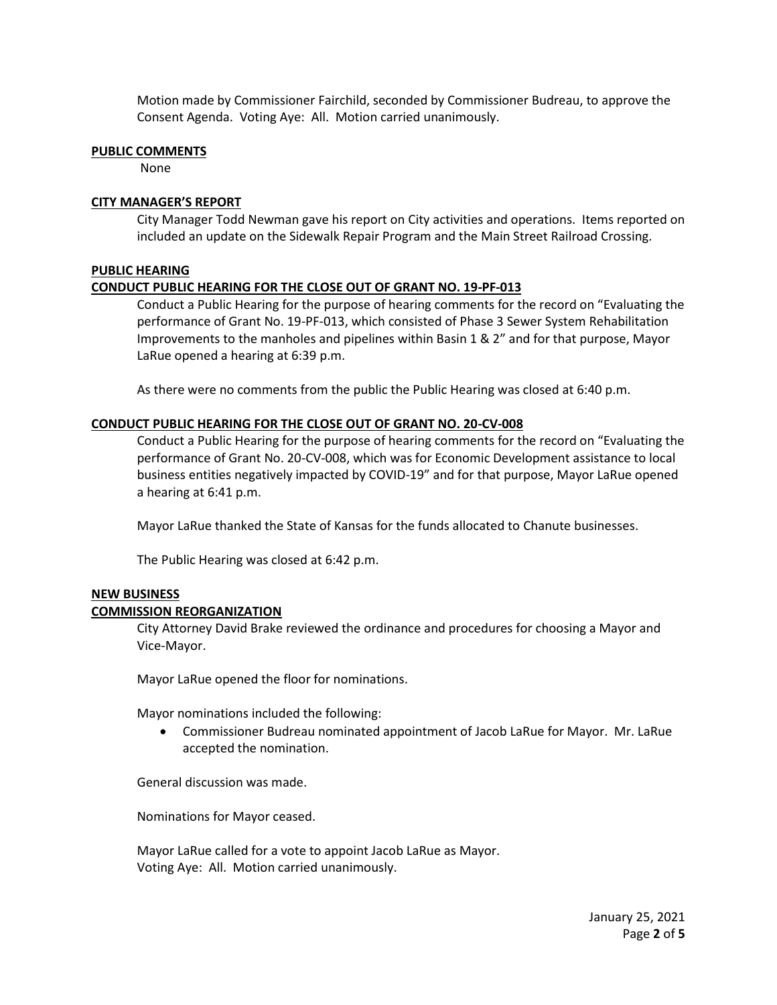Motion made by Commissioner Fairchild, seconded by Commissioner Budreau, to approve the Consent Agenda. Voting Aye: All. Motion carried unanimously.

### **PUBLIC COMMENTS**

None

# **CITY MANAGER'S REPORT**

City Manager Todd Newman gave his report on City activities and operations. Items reported on included an update on the Sidewalk Repair Program and the Main Street Railroad Crossing.

# **PUBLIC HEARING**

# **CONDUCT PUBLIC HEARING FOR THE CLOSE OUT OF GRANT NO. 19-PF-013**

Conduct a Public Hearing for the purpose of hearing comments for the record on "Evaluating the performance of Grant No. 19-PF-013, which consisted of Phase 3 Sewer System Rehabilitation Improvements to the manholes and pipelines within Basin 1 & 2" and for that purpose, Mayor LaRue opened a hearing at 6:39 p.m.

As there were no comments from the public the Public Hearing was closed at 6:40 p.m.

## **CONDUCT PUBLIC HEARING FOR THE CLOSE OUT OF GRANT NO. 20-CV-008**

Conduct a Public Hearing for the purpose of hearing comments for the record on "Evaluating the performance of Grant No. 20-CV-008, which was for Economic Development assistance to local business entities negatively impacted by COVID-19" and for that purpose, Mayor LaRue opened a hearing at 6:41 p.m.

Mayor LaRue thanked the State of Kansas for the funds allocated to Chanute businesses.

The Public Hearing was closed at 6:42 p.m.

### **NEW BUSINESS**

### **COMMISSION REORGANIZATION**

City Attorney David Brake reviewed the ordinance and procedures for choosing a Mayor and Vice-Mayor.

Mayor LaRue opened the floor for nominations.

Mayor nominations included the following:

• Commissioner Budreau nominated appointment of Jacob LaRue for Mayor. Mr. LaRue accepted the nomination.

General discussion was made.

Nominations for Mayor ceased.

Mayor LaRue called for a vote to appoint Jacob LaRue as Mayor. Voting Aye: All. Motion carried unanimously.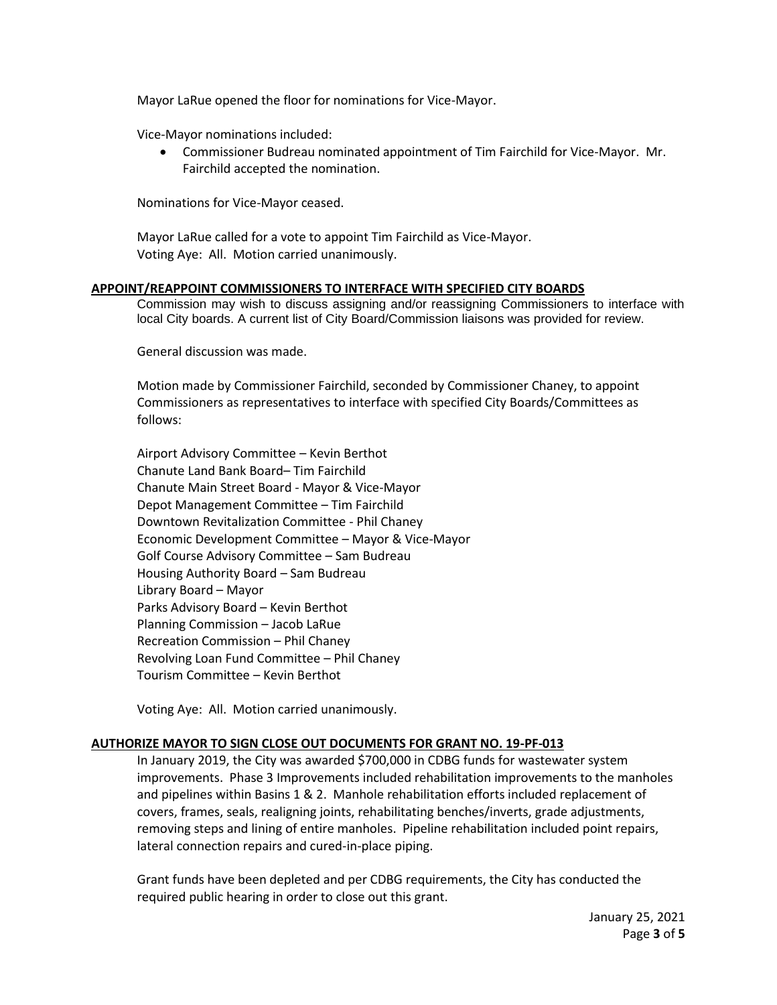Mayor LaRue opened the floor for nominations for Vice-Mayor.

Vice-Mayor nominations included:

• Commissioner Budreau nominated appointment of Tim Fairchild for Vice-Mayor. Mr. Fairchild accepted the nomination.

Nominations for Vice-Mayor ceased.

Mayor LaRue called for a vote to appoint Tim Fairchild as Vice-Mayor. Voting Aye: All. Motion carried unanimously.

## **APPOINT/REAPPOINT COMMISSIONERS TO INTERFACE WITH SPECIFIED CITY BOARDS**

Commission may wish to discuss assigning and/or reassigning Commissioners to interface with local City boards. A current list of City Board/Commission liaisons was provided for review.

General discussion was made.

Motion made by Commissioner Fairchild, seconded by Commissioner Chaney, to appoint Commissioners as representatives to interface with specified City Boards/Committees as follows:

Airport Advisory Committee – Kevin Berthot Chanute Land Bank Board– Tim Fairchild Chanute Main Street Board - Mayor & Vice-Mayor Depot Management Committee – Tim Fairchild Downtown Revitalization Committee - Phil Chaney Economic Development Committee – Mayor & Vice-Mayor Golf Course Advisory Committee – Sam Budreau Housing Authority Board – Sam Budreau Library Board – Mayor Parks Advisory Board – Kevin Berthot Planning Commission – Jacob LaRue Recreation Commission – Phil Chaney Revolving Loan Fund Committee – Phil Chaney Tourism Committee – Kevin Berthot

Voting Aye: All. Motion carried unanimously.

### **AUTHORIZE MAYOR TO SIGN CLOSE OUT DOCUMENTS FOR GRANT NO. 19-PF-013**

In January 2019, the City was awarded \$700,000 in CDBG funds for wastewater system improvements. Phase 3 Improvements included rehabilitation improvements to the manholes and pipelines within Basins 1 & 2. Manhole rehabilitation efforts included replacement of covers, frames, seals, realigning joints, rehabilitating benches/inverts, grade adjustments, removing steps and lining of entire manholes. Pipeline rehabilitation included point repairs, lateral connection repairs and cured-in-place piping.

Grant funds have been depleted and per CDBG requirements, the City has conducted the required public hearing in order to close out this grant.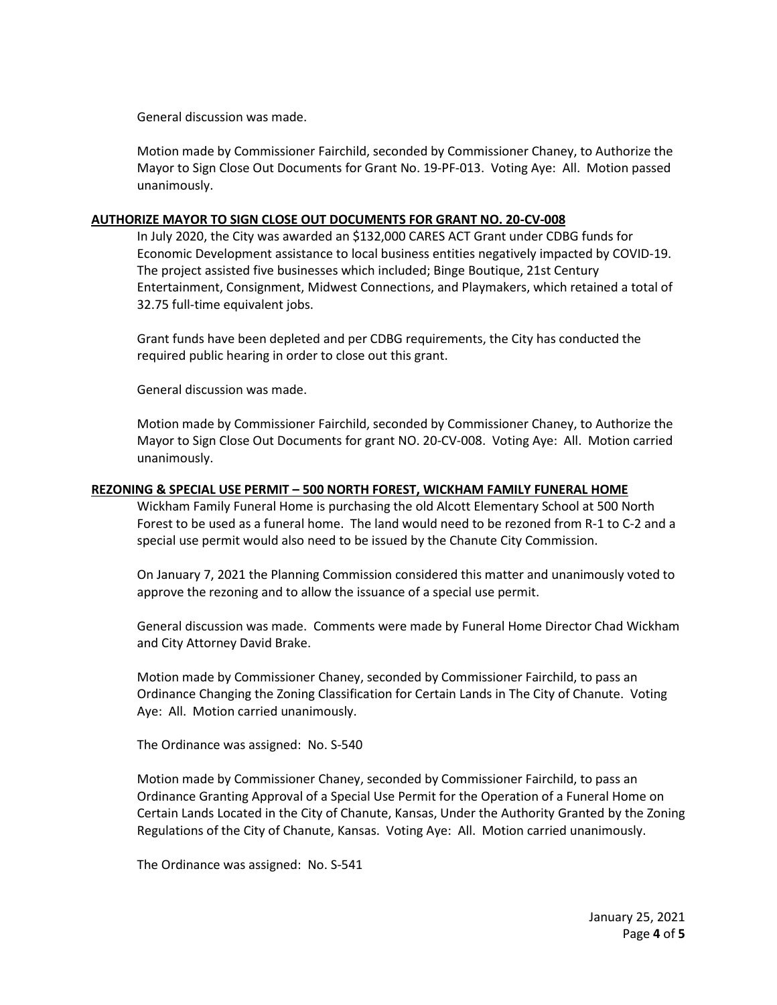General discussion was made.

Motion made by Commissioner Fairchild, seconded by Commissioner Chaney, to Authorize the Mayor to Sign Close Out Documents for Grant No. 19-PF-013. Voting Aye: All. Motion passed unanimously.

## **AUTHORIZE MAYOR TO SIGN CLOSE OUT DOCUMENTS FOR GRANT NO. 20-CV-008**

In July 2020, the City was awarded an \$132,000 CARES ACT Grant under CDBG funds for Economic Development assistance to local business entities negatively impacted by COVID-19. The project assisted five businesses which included; Binge Boutique, 21st Century Entertainment, Consignment, Midwest Connections, and Playmakers, which retained a total of 32.75 full-time equivalent jobs.

Grant funds have been depleted and per CDBG requirements, the City has conducted the required public hearing in order to close out this grant.

General discussion was made.

Motion made by Commissioner Fairchild, seconded by Commissioner Chaney, to Authorize the Mayor to Sign Close Out Documents for grant NO. 20-CV-008. Voting Aye: All. Motion carried unanimously.

## **REZONING & SPECIAL USE PERMIT – 500 NORTH FOREST, WICKHAM FAMILY FUNERAL HOME**

Wickham Family Funeral Home is purchasing the old Alcott Elementary School at 500 North Forest to be used as a funeral home. The land would need to be rezoned from R-1 to C-2 and a special use permit would also need to be issued by the Chanute City Commission.

On January 7, 2021 the Planning Commission considered this matter and unanimously voted to approve the rezoning and to allow the issuance of a special use permit.

General discussion was made. Comments were made by Funeral Home Director Chad Wickham and City Attorney David Brake.

Motion made by Commissioner Chaney, seconded by Commissioner Fairchild, to pass an Ordinance Changing the Zoning Classification for Certain Lands in The City of Chanute. Voting Aye: All. Motion carried unanimously.

The Ordinance was assigned: No. S-540

Motion made by Commissioner Chaney, seconded by Commissioner Fairchild, to pass an Ordinance Granting Approval of a Special Use Permit for the Operation of a Funeral Home on Certain Lands Located in the City of Chanute, Kansas, Under the Authority Granted by the Zoning Regulations of the City of Chanute, Kansas. Voting Aye: All. Motion carried unanimously.

The Ordinance was assigned: No. S-541